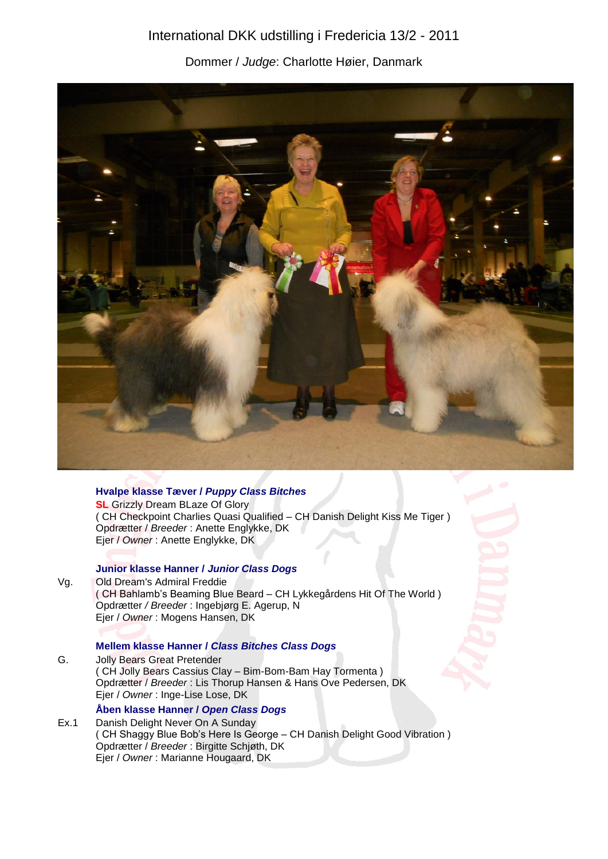# International DKK udstilling i Fredericia 13/2 - 2011

Dommer / *Judge*: Charlotte Høier, Danmark



## **Hvalpe klasse Tæver /** *Puppy Class Bitches*

**SL** Grizzly Dream BLaze Of Glory ( CH Checkpoint Charlies Quasi Qualified – CH Danish Delight Kiss Me Tiger ) Opdrætter / *Breeder* : Anette Englykke, DK Ejer / *Owner* : Anette Englykke, DK

#### **Junior klasse Hanner /** *Junior Class Dogs*

Vg. Old Dream's Admiral Freddie ( CH Bahlamb's Beaming Blue Beard – CH Lykkegårdens Hit Of The World ) Opdrætter */ Breeder* : Ingebjørg E. Agerup, N Ejer / *Owner* : Mogens Hansen, DK

# **Mellem klasse Hanner /** *Class Bitches Class Dogs*

G. Jolly Bears Great Pretender ( CH Jolly Bears Cassius Clay – Bim-Bom-Bam Hay Tormenta ) Opdrætter / *Breeder* : Lis Thorup Hansen & Hans Ove Pedersen, DK Ejer / *Owner* : Inge-Lise Lose, DK

## **Åben klasse Hanner /** *Open Class Dogs*

Ex.1 Danish Delight Never On A Sunday ( CH Shaggy Blue Bob's Here Is George – CH Danish Delight Good Vibration ) Opdrætter / *Breeder* : Birgitte Schjøth, DK Ejer / *Owner* : Marianne Hougaard, DK